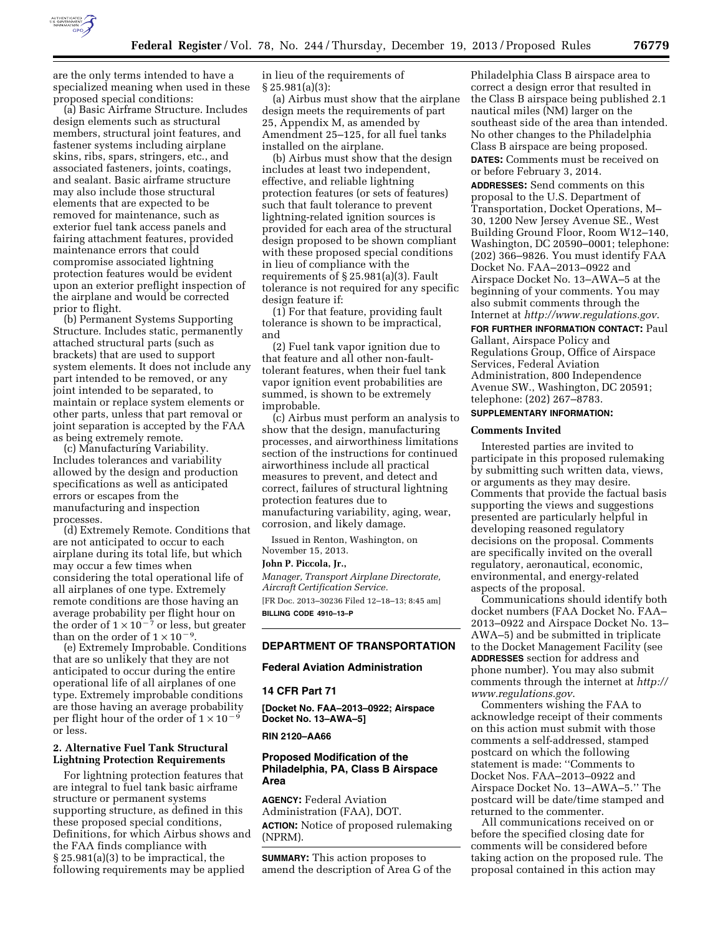

are the only terms intended to have a specialized meaning when used in these proposed special conditions:

(a) Basic Airframe Structure. Includes design elements such as structural members, structural joint features, and fastener systems including airplane skins, ribs, spars, stringers, etc., and associated fasteners, joints, coatings, and sealant. Basic airframe structure may also include those structural elements that are expected to be removed for maintenance, such as exterior fuel tank access panels and fairing attachment features, provided maintenance errors that could compromise associated lightning protection features would be evident upon an exterior preflight inspection of the airplane and would be corrected prior to flight.

(b) Permanent Systems Supporting Structure. Includes static, permanently attached structural parts (such as brackets) that are used to support system elements. It does not include any part intended to be removed, or any joint intended to be separated, to maintain or replace system elements or other parts, unless that part removal or joint separation is accepted by the FAA as being extremely remote.

(c) Manufacturing Variability. Includes tolerances and variability allowed by the design and production specifications as well as anticipated errors or escapes from the manufacturing and inspection processes.

(d) Extremely Remote. Conditions that are not anticipated to occur to each airplane during its total life, but which may occur a few times when considering the total operational life of all airplanes of one type. Extremely remote conditions are those having an average probability per flight hour on the order of  $1 \times 10^{-7}$  or less, but greater than on the order of  $1 \times 10^{-9}$ .

(e) Extremely Improbable. Conditions that are so unlikely that they are not anticipated to occur during the entire operational life of all airplanes of one type. Extremely improbable conditions are those having an average probability per flight hour of the order of  $1 \times 10^{-9}$ or less.

## **2. Alternative Fuel Tank Structural Lightning Protection Requirements**

For lightning protection features that are integral to fuel tank basic airframe structure or permanent systems supporting structure, as defined in this these proposed special conditions, Definitions, for which Airbus shows and the FAA finds compliance with § 25.981(a)(3) to be impractical, the following requirements may be applied

in lieu of the requirements of § 25.981(a)(3):

(a) Airbus must show that the airplane design meets the requirements of part 25, Appendix M, as amended by Amendment 25–125, for all fuel tanks installed on the airplane.

(b) Airbus must show that the design includes at least two independent, effective, and reliable lightning protection features (or sets of features) such that fault tolerance to prevent lightning-related ignition sources is provided for each area of the structural design proposed to be shown compliant with these proposed special conditions in lieu of compliance with the requirements of § 25.981(a)(3). Fault tolerance is not required for any specific design feature if:

(1) For that feature, providing fault tolerance is shown to be impractical, and

(2) Fuel tank vapor ignition due to that feature and all other non-faulttolerant features, when their fuel tank vapor ignition event probabilities are summed, is shown to be extremely improbable.

(c) Airbus must perform an analysis to show that the design, manufacturing processes, and airworthiness limitations section of the instructions for continued airworthiness include all practical measures to prevent, and detect and correct, failures of structural lightning protection features due to manufacturing variability, aging, wear, corrosion, and likely damage.

Issued in Renton, Washington, on November 15, 2013.

# **John P. Piccola, Jr.,**

*Manager, Transport Airplane Directorate, Aircraft Certification Service.*  [FR Doc. 2013–30236 Filed 12–18–13; 8:45 am] **BILLING CODE 4910–13–P** 

# **DEPARTMENT OF TRANSPORTATION**

# **Federal Aviation Administration**

# **14 CFR Part 71**

**[Docket No. FAA–2013–0922; Airspace Docket No. 13–AWA–5]** 

# **RIN 2120–AA66**

### **Proposed Modification of the Philadelphia, PA, Class B Airspace Area**

**AGENCY:** Federal Aviation Administration (FAA), DOT. **ACTION:** Notice of proposed rulemaking (NPRM).

**SUMMARY:** This action proposes to amend the description of Area G of the Philadelphia Class B airspace area to correct a design error that resulted in the Class B airspace being published 2.1 nautical miles (NM) larger on the southeast side of the area than intended. No other changes to the Philadelphia Class B airspace are being proposed. **DATES:** Comments must be received on or before February 3, 2014.

**ADDRESSES:** Send comments on this proposal to the U.S. Department of Transportation, Docket Operations, M– 30, 1200 New Jersey Avenue SE., West Building Ground Floor, Room W12–140, Washington, DC 20590–0001; telephone: (202) 366–9826. You must identify FAA Docket No. FAA–2013–0922 and Airspace Docket No. 13–AWA–5 at the beginning of your comments. You may also submit comments through the Internet at *<http://www.regulations.gov>*.

**FOR FURTHER INFORMATION CONTACT:** Paul Gallant, Airspace Policy and Regulations Group, Office of Airspace Services, Federal Aviation Administration, 800 Independence Avenue SW., Washington, DC 20591; telephone: (202) 267–8783.

# **SUPPLEMENTARY INFORMATION:**

### **Comments Invited**

Interested parties are invited to participate in this proposed rulemaking by submitting such written data, views, or arguments as they may desire. Comments that provide the factual basis supporting the views and suggestions presented are particularly helpful in developing reasoned regulatory decisions on the proposal. Comments are specifically invited on the overall regulatory, aeronautical, economic, environmental, and energy-related aspects of the proposal.

Communications should identify both docket numbers (FAA Docket No. FAA– 2013–0922 and Airspace Docket No. 13– AWA–5) and be submitted in triplicate to the Docket Management Facility (see **ADDRESSES** section for address and phone number). You may also submit comments through the internet at *[http://](http://www.regulations.gov)  [www.regulations.gov](http://www.regulations.gov)*.

Commenters wishing the FAA to acknowledge receipt of their comments on this action must submit with those comments a self-addressed, stamped postcard on which the following statement is made: ''Comments to Docket Nos. FAA–2013–0922 and Airspace Docket No. 13–AWA–5.'' The postcard will be date/time stamped and returned to the commenter.

All communications received on or before the specified closing date for comments will be considered before taking action on the proposed rule. The proposal contained in this action may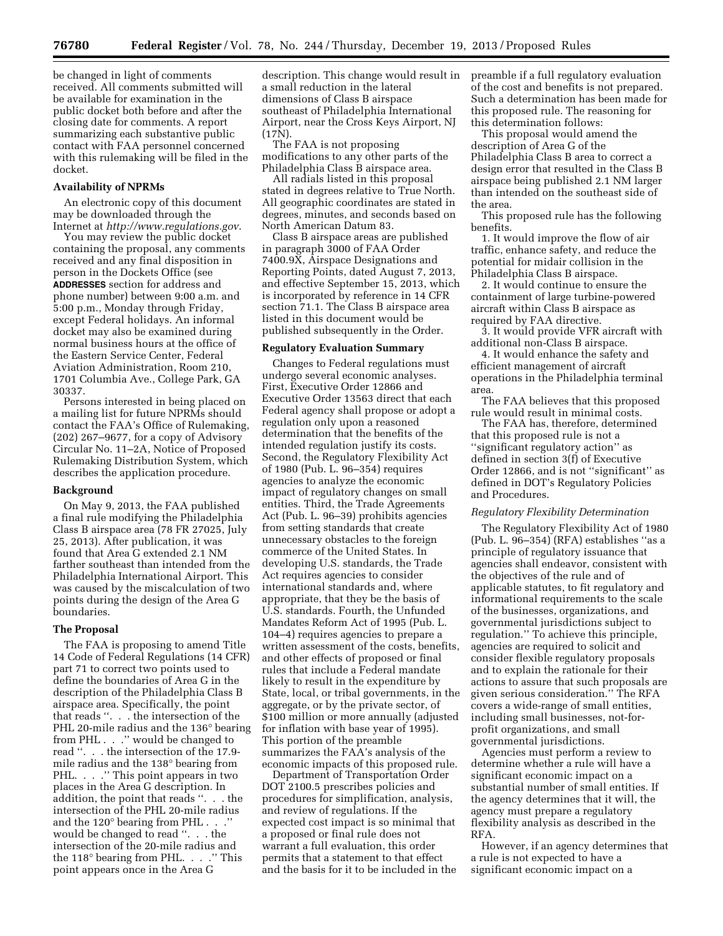be changed in light of comments received. All comments submitted will be available for examination in the public docket both before and after the closing date for comments. A report summarizing each substantive public contact with FAA personnel concerned with this rulemaking will be filed in the docket.

#### **Availability of NPRMs**

An electronic copy of this document may be downloaded through the Internet at *<http://www.regulations.gov>*.

You may review the public docket containing the proposal, any comments received and any final disposition in person in the Dockets Office (see **ADDRESSES** section for address and phone number) between 9:00 a.m. and 5:00 p.m., Monday through Friday, except Federal holidays. An informal docket may also be examined during normal business hours at the office of the Eastern Service Center, Federal Aviation Administration, Room 210, 1701 Columbia Ave., College Park, GA 30337.

Persons interested in being placed on a mailing list for future NPRMs should contact the FAA's Office of Rulemaking, (202) 267–9677, for a copy of Advisory Circular No. 11–2A, Notice of Proposed Rulemaking Distribution System, which describes the application procedure.

#### **Background**

On May 9, 2013, the FAA published a final rule modifying the Philadelphia Class B airspace area (78 FR 27025, July 25, 2013). After publication, it was found that Area G extended 2.1 NM farther southeast than intended from the Philadelphia International Airport. This was caused by the miscalculation of two points during the design of the Area G boundaries.

#### **The Proposal**

The FAA is proposing to amend Title 14 Code of Federal Regulations (14 CFR) part 71 to correct two points used to define the boundaries of Area G in the description of the Philadelphia Class B airspace area. Specifically, the point that reads ''. . . the intersection of the PHL 20-mile radius and the 136° bearing from PHL . . .'' would be changed to read ''. . . the intersection of the 17.9 mile radius and the 138° bearing from PHL. . . . " This point appears in two places in the Area G description. In addition, the point that reads ''. . . the intersection of the PHL 20-mile radius and the 120° bearing from PHL . . .'' would be changed to read ''. . . the intersection of the 20-mile radius and the 118° bearing from PHL. . . .'' This point appears once in the Area G

description. This change would result in a small reduction in the lateral dimensions of Class B airspace southeast of Philadelphia International Airport, near the Cross Keys Airport, NJ (17N).

The FAA is not proposing modifications to any other parts of the Philadelphia Class B airspace area.

All radials listed in this proposal stated in degrees relative to True North. All geographic coordinates are stated in degrees, minutes, and seconds based on North American Datum 83.

Class B airspace areas are published in paragraph 3000 of FAA Order 7400.9X, Airspace Designations and Reporting Points, dated August 7, 2013, and effective September 15, 2013, which is incorporated by reference in 14 CFR section 71.1. The Class B airspace area listed in this document would be published subsequently in the Order.

#### **Regulatory Evaluation Summary**

Changes to Federal regulations must undergo several economic analyses. First, Executive Order 12866 and Executive Order 13563 direct that each Federal agency shall propose or adopt a regulation only upon a reasoned determination that the benefits of the intended regulation justify its costs. Second, the Regulatory Flexibility Act of 1980 (Pub. L. 96–354) requires agencies to analyze the economic impact of regulatory changes on small entities. Third, the Trade Agreements Act (Pub. L. 96–39) prohibits agencies from setting standards that create unnecessary obstacles to the foreign commerce of the United States. In developing U.S. standards, the Trade Act requires agencies to consider international standards and, where appropriate, that they be the basis of U.S. standards. Fourth, the Unfunded Mandates Reform Act of 1995 (Pub. L. 104–4) requires agencies to prepare a written assessment of the costs, benefits, and other effects of proposed or final rules that include a Federal mandate likely to result in the expenditure by State, local, or tribal governments, in the aggregate, or by the private sector, of \$100 million or more annually (adjusted for inflation with base year of 1995). This portion of the preamble summarizes the FAA's analysis of the economic impacts of this proposed rule.

Department of Transportation Order DOT 2100.5 prescribes policies and procedures for simplification, analysis, and review of regulations. If the expected cost impact is so minimal that a proposed or final rule does not warrant a full evaluation, this order permits that a statement to that effect and the basis for it to be included in the preamble if a full regulatory evaluation of the cost and benefits is not prepared. Such a determination has been made for this proposed rule. The reasoning for this determination follows:

This proposal would amend the description of Area G of the Philadelphia Class B area to correct a design error that resulted in the Class B airspace being published 2.1 NM larger than intended on the southeast side of the area.

This proposed rule has the following benefits.

1. It would improve the flow of air traffic, enhance safety, and reduce the potential for midair collision in the Philadelphia Class B airspace.

2. It would continue to ensure the containment of large turbine-powered aircraft within Class B airspace as required by FAA directive.

3. It would provide VFR aircraft with additional non-Class B airspace.

4. It would enhance the safety and efficient management of aircraft operations in the Philadelphia terminal area.

The FAA believes that this proposed rule would result in minimal costs.

The FAA has, therefore, determined that this proposed rule is not a ''significant regulatory action'' as defined in section 3(f) of Executive Order 12866, and is not ''significant'' as defined in DOT's Regulatory Policies and Procedures.

#### *Regulatory Flexibility Determination*

The Regulatory Flexibility Act of 1980 (Pub. L. 96–354) (RFA) establishes ''as a principle of regulatory issuance that agencies shall endeavor, consistent with the objectives of the rule and of applicable statutes, to fit regulatory and informational requirements to the scale of the businesses, organizations, and governmental jurisdictions subject to regulation.'' To achieve this principle, agencies are required to solicit and consider flexible regulatory proposals and to explain the rationale for their actions to assure that such proposals are given serious consideration.'' The RFA covers a wide-range of small entities, including small businesses, not-forprofit organizations, and small governmental jurisdictions.

Agencies must perform a review to determine whether a rule will have a significant economic impact on a substantial number of small entities. If the agency determines that it will, the agency must prepare a regulatory flexibility analysis as described in the RFA.

However, if an agency determines that a rule is not expected to have a significant economic impact on a